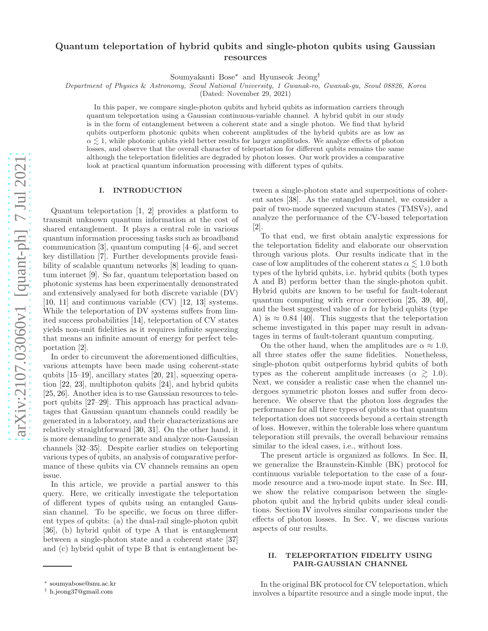# Quantum teleportation of hybrid qubits and single-photon qubits using Gaussian resources

Soumyakanti Bose[∗](#page-0-0) and Hyunseok Jeong[†](#page-0-1)

Department of Physics & Astronomy, Seoul National University, 1 Gwanak-ro, Gwanak-gu, Seoul 08826, Korea

(Dated: November 29, 2021)

In this paper, we compare single-photon qubits and hybrid qubits as information carriers through quantum teleportation using a Gaussian continuous-variable channel. A hybrid qubit in our study is in the form of entanglement between a coherent state and a single photon. We find that hybrid qubits outperform photonic qubits when coherent amplitudes of the hybrid qubits are as low as  $\alpha \lesssim 1$ , while photonic qubits yield better results for larger amplitudes. We analyze effects of photon losses, and observe that the overall character of teleportation for different qubits remains the same although the teleportation fidelities are degraded by photon losses. Our work provides a comparative look at practical quantum information processing with different types of qubits.

#### I. INTRODUCTION

Quantum teleportation [\[1](#page-4-0), [2\]](#page-4-1) provides a platform to transmit unknown quantum information at the cost of shared entanglement. It plays a central role in various quantum information processing tasks such as broadband communication [\[3\]](#page-4-2), quantum computing [\[4](#page-4-3)[–6\]](#page-4-4), and secret key distillation [\[7\]](#page-4-5). Further developments provide feasibility of scalable quantum networks [\[8](#page-4-6)] leading to quantum internet [\[9](#page-4-7)]. So far, quantum teleportation based on photonic systems has been experimentally demonstrated and extensively analysed for both discrete variable (DV) [\[10,](#page-4-8) [11\]](#page-4-9) and continuous variable (CV) [\[12,](#page-4-10) [13\]](#page-4-11) systems. While the teleportation of DV systems suffers from limited success probabilities [\[14](#page-4-12)], teleportation of CV states yields non-unit fidelities as it requires infinite squeezing that means an infinite amount of energy for perfect teleportation [\[2\]](#page-4-1).

In order to circumvent the aforementioned difficulties, various attempts have been made using coherent-state qubits [\[15](#page-4-13)[–19\]](#page-4-14), ancillary states [\[20](#page-4-15), [21](#page-4-16)], squeezing operation [\[22](#page-4-17), [23\]](#page-4-18), multiphoton qubits [\[24](#page-4-19)], and hybrid qubits [\[25,](#page-4-20) [26\]](#page-4-21). Another idea is to use Gaussian resources to teleport qubits [\[27](#page-4-22)[–29](#page-4-23)]. This approach has practical advantages that Gaussian quantum channels could readily be generated in a laboratory, and their characterizations are relatively straightforward [\[30](#page-4-24), [31\]](#page-4-25). On the other hand, it is more demanding to generate and analyze non-Gaussian channels [\[32](#page-4-26)[–35\]](#page-4-27). Despite earlier studies on teleporting various types of qubits, an analysis of comparative performance of these qubits via CV channels remains an open issue.

In this article, we provide a partial answer to this query. Here, we critically investigate the teleportation of different types of qubits using an entangled Gaussian channel. To be specific, we focus on three different types of qubits: (a) the dual-rail single-photon qubit [\[36\]](#page-4-28), (b) hybrid qubit of type A that is entanglement between a single-photon state and a coherent state [\[37](#page-4-29)] and (c) hybrid qubit of type B that is entanglement between a single-photon state and superpositions of coherent sates [\[38](#page-4-30)]. As the entangled channel, we consider a pair of two-mode squeezed vacuum states (TMSVs), and analyze the performance of the CV-based teleportation [\[2\]](#page-4-1).

To that end, we first obtain analytic expressions for the teleportation fidelity and elaborate our observation through various plots. Our results indicate that in the case of low amplitudes of the coherent states  $\alpha \leq 1.0$  both types of the hybrid qubits, i.e. hybrid qubits (both types A and B) perform better than the single-photon qubit. Hybrid qubits are known to be useful for fault-tolerant quantum computing with error correction [\[25,](#page-4-20) [39](#page-4-31), [40\]](#page-5-0), and the best suggested value of  $\alpha$  for hybrid qubits (type A) is  $\approx 0.84$  [\[40\]](#page-5-0). This suggests that the teleportation scheme investigated in this paper may result in advantages in terms of fault-tolerant quantum computing.

On the other hand, when the amplitudes are  $\alpha \approx 1.0$ , all three states offer the same fidelities. Nonetheless, single-photon qubit outperforms hybrid qubits of both types as the coherent amplitude increases ( $\alpha \geq 1.0$ ). Next, we consider a realistic case when the channel undergoes symmetric photon losses and suffer from decoherence. We observe that the photon loss degrades the performance for all three types of qubits so that quantum teleportation does not succeeds beyond a certain strength of loss. However, within the tolerable loss where quantum teleporation still prevails, the overall behaviour remains similar to the ideal cases, i.e., without loss.

The present article is organized as follows. In Sec. [II,](#page-0-2) we generalize the Braunstein-Kimble (BK) protocol for continuous variable teleportation to the case of a fourmode resource and a two-mode input state. In Sec. [III,](#page-1-0) we show the relative comparison between the singlephoton qubit and the hybrid qubits under ideal conditions. Section [IV](#page-3-0) involves similar comparisons under the effects of photon losses. In Sec. [V,](#page-4-32) we discuss various aspects of our results.

### <span id="page-0-2"></span>II. TELEPORTATION FIDELITY USING PAIR-GAUSSIAN CHANNEL

In the original BK protocol for CV teleportation, which involves a bipartite resource and a single mode input, the

<span id="page-0-0"></span><sup>∗</sup> [soumyabose@snu.ac.kr](mailto:soumyabose@snu.ac.kr)

<span id="page-0-1"></span><sup>†</sup> [h.jeong37@gmail.com](mailto:h.jeong37@gmail.com)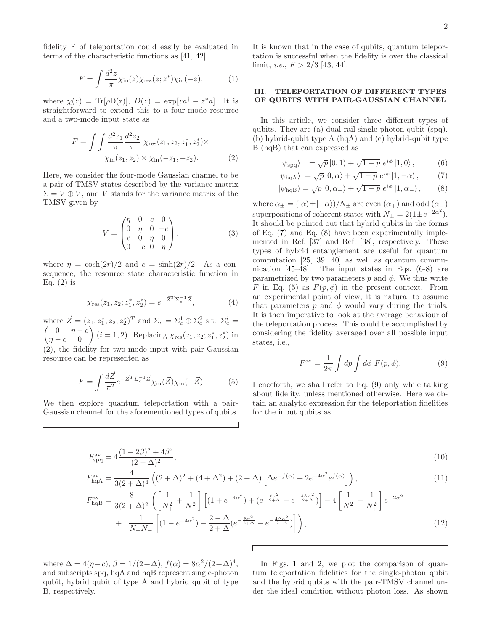fidelity F of teleportation could easily be evaluated in terms of the characteristic functions as [\[41,](#page-5-1) [42\]](#page-5-2)

$$
F = \int \frac{d^2 z}{\pi} \chi_{\rm in}(z) \chi_{\rm res}(z; z^*) \chi_{\rm in}(-z), \tag{1}
$$

where  $\chi(z) = \text{Tr}[\rho \text{D}(z)], D(z) = \exp[za^{\dagger} - z^*a].$  It is straightforward to extend this to a four-mode resource and a two-mode input state as

$$
F = \int \int \frac{d^2 z_1}{\pi} \frac{d^2 z_2}{\pi} \chi_{\text{res}}(z_1, z_2; z_1^*, z_2^*) \times \chi_{\text{in}}(z_1, z_2) \times \chi_{\text{in}}(-z_1, -z_2). \tag{2}
$$

Here, we consider the four-mode Gaussian channel to be a pair of TMSV states described by the variance matrix  $\Sigma = V \oplus V$ , and V stands for the variance matrix of the TMSV given by

<span id="page-1-5"></span>
$$
V = \begin{pmatrix} \eta & 0 & c & 0 \\ 0 & \eta & 0 & -c \\ c & 0 & \eta & 0 \\ 0 & -c & 0 & \eta \end{pmatrix},
$$
 (3)

where  $\eta = \cosh(2r)/2$  and  $c = \sinh(2r)/2$ . As a consequence, the resource state characteristic function in Eq.  $(2)$  is

$$
\chi_{\rm res}(z_1, z_2; z_1^*, z_2^*) = e^{-\vec{Z}^T \Sigma_c^{-1} \vec{Z}},\tag{4}
$$

where  $\vec{Z} = (z_1, z_1^*, z_2, z_2^*)^T$  and  $\Sigma_c = \Sigma_c^1 \oplus \Sigma_c^2$  s.t.  $\Sigma_c^i$ where  $Z = (z_1, z_1^*, z_2, z_2^*)^T$  and  $\Sigma_c = \Sigma_c^1 \oplus \Sigma_c^2$  s.t.  $\Sigma_c^i =$ <br>  $\begin{pmatrix} 0 & \eta - c \\ i = 1, 2 \end{pmatrix}$ , Replacing  $\chi_{\text{res}}(z_1, z_2; z_1^*, z_2^*)$  in  $\eta - c = 0$  $(i = 1, 2)$ . Replacing  $\chi_{res}(z_1, z_2; z_1^*, z_2^*)$  in [\(2\)](#page-1-1), the fidelity for two-mode input with pair-Gaussian resource can be represented as

<span id="page-1-3"></span>
$$
F = \int \frac{d\vec{Z}}{\pi^2} e^{-\vec{Z}^T \Sigma_c^{-1} \vec{Z}} \chi_{\text{in}}(\vec{Z}) \chi_{\text{in}}(-\vec{Z}) \tag{5}
$$

We then explore quantum teleportation with a pair-Gaussian channel for the aforementioned types of qubits. It is known that in the case of qubits, quantum teleportation is successful when the fidelity is over the classical limit, *i.e.*,  $F > 2/3$  [\[43,](#page-5-3) [44\]](#page-5-4).

## <span id="page-1-0"></span>III. TELEPORTATION OF DIFFERENT TYPES OF QUBITS WITH PAIR-GAUSSIAN CHANNEL

<span id="page-1-1"></span>In this article, we consider three different types of qubits. They are (a) dual-rail single-photon qubit (spq), (b) hybrid-qubit type A (hqA) and (c) hybrid-qubit type B (hqB) that can expressed as

<span id="page-1-2"></span>
$$
|\psi_{\rm spq}\rangle = \sqrt{p}|0,1\rangle + \sqrt{1-p} e^{i\phi}|1,0\rangle, \qquad (6)
$$

$$
|\psi_{\text{hqA}}\rangle = \sqrt{p}|0,\alpha\rangle + \sqrt{1-p} e^{i\phi}|1,-\alpha\rangle, \qquad (7)
$$

$$
\left|\psi_{\text{hqB}}\right\rangle = \sqrt{p}\left|0,\alpha_{+}\right\rangle + \sqrt{1-p} \; e^{i\phi}\left|1,\alpha_{-}\right\rangle, \tag{8}
$$

where  $\alpha_{\pm} = (\vert \alpha \rangle \pm \vert -\alpha \rangle)/N_{\pm}$  are even  $(\alpha_{+})$  and odd  $(\alpha_{-})$ superpositions of coherent states with  $N_{\pm} = 2(1 \pm e^{-2\alpha^2})$ . It should be pointed out that hybrid qubits in the forms of Eq. [\(7\)](#page-1-2) and Eq. [\(8\)](#page-1-2) have been experimentally implemented in Ref. [\[37\]](#page-4-29) and Ref. [\[38\]](#page-4-30), respectively. These types of hybrid entanglement are useful for quantum computation [\[25,](#page-4-20) [39,](#page-4-31) [40\]](#page-5-0) as well as quantum communication [\[45](#page-5-5)[–48](#page-5-6)]. The input states in Eqs. [\(6-8\)](#page-1-2) are parametrized by two parameters  $p$  and  $\phi$ . We thus write F in Eq. [\(5\)](#page-1-3) as  $F(p, \phi)$  in the present context. From an experimental point of view, it is natural to assume that parameters  $p$  and  $\phi$  would vary during the trials. It is then imperative to look at the average behaviour of the teleportation process. This could be accomplished by considering the fidelity averaged over all possible input states, i.e.,

<span id="page-1-7"></span><span id="page-1-6"></span><span id="page-1-4"></span>
$$
F^{\text{av}} = \frac{1}{2\pi} \int dp \int d\phi \ F(p,\phi). \tag{9}
$$

Henceforth, we shall refer to Eq. [\(9\)](#page-1-4) only while talking about fidelity, unless mentioned otherwise. Here we obtain an analytic expression for the teleportation fidelities for the input qubits as

$$
F_{\rm spq}^{\rm av} = 4 \frac{(1 - 2\beta)^2 + 4\beta^2}{(2 + \Delta)^2},\tag{10}
$$

$$
F_{\text{hqA}}^{\text{av}} = \frac{4}{3(2+\Delta)^4} \left( (2+\Delta)^2 + (4+\Delta^2) + (2+\Delta) \left[ \Delta e^{-f(\alpha)} + 2e^{-4\alpha^2} e^{f(\alpha)} \right] \right),\tag{11}
$$

$$
F_{\text{hqB}}^{\text{av}} = \frac{8}{3(2+\Delta)^2} \left( \left[ \frac{1}{N_+^2} + \frac{1}{N_-^2} \right] \left[ (1 + e^{-4\alpha^2}) + (e^{-\frac{8\alpha^2}{2+\Delta}} + e^{-\frac{4\Delta\alpha^2}{2+\Delta}}) \right] - 4 \left[ \frac{1}{N_-^2} - \frac{1}{N_+^2} \right] e^{-2\alpha^2} + \frac{1}{N_+ N_-} \left[ (1 - e^{-4\alpha^2}) - \frac{2-\Delta}{2+\Delta} (e^{-\frac{8\alpha^2}{2+\Delta}} - e^{-\frac{4\Delta\alpha^2}{2+\Delta}}) \right] \right), \tag{12}
$$

<span id="page-1-8"></span>Г

where  $\Delta = 4(\eta - c)$ ,  $\beta = 1/(2 + \Delta)$ ,  $f(\alpha) = 8\alpha^2/(2 + \Delta)^4$ , and subscripts spq, hqA and hqB represent single-photon qubit, hybrid qubit of type A and hybrid qubit of type B, respectively.

In Figs. [1](#page-2-0) and [2,](#page-2-1) we plot the comparison of quantum teleportation fidelities for the single-photon qubit and the hybrid qubits with the pair-TMSV channel under the ideal condition without photon loss. As shown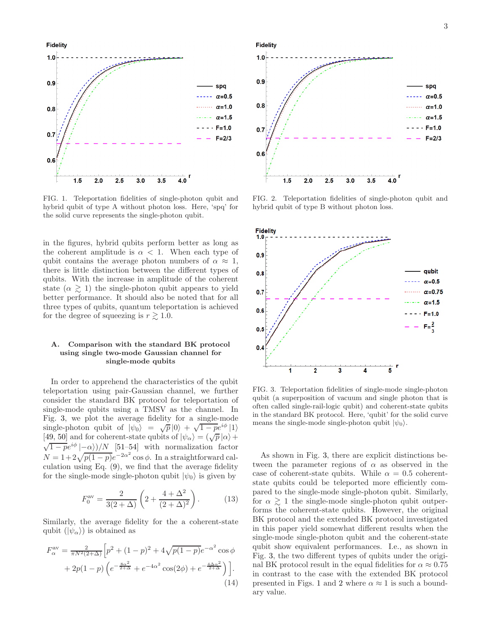**Fidelity** 



<span id="page-2-0"></span>FIG. 1. Teleportation fidelities of single-photon qubit and hybrid qubit of type A without photon loss. Here, 'spq' for the solid curve represents the single-photon qubit.

in the figures, hybrid qubits perform better as long as the coherent amplitude is  $\alpha < 1$ . When each type of qubit contains the average photon numbers of  $\alpha \approx 1$ , there is little distinction between the different types of qubits. With the increase in amplitude of the coherent state  $(\alpha \geq 1)$  the single-photon qubit appears to yield better performance. It should also be noted that for all three types of qubits, quantum teleportation is achieved for the degree of squeezing is  $r \gtrsim 1.0$ .

### A. Comparison with the standard BK protocol using single two-mode Gaussian channel for single-mode qubits

In order to apprehend the characteristics of the qubit teleportation using pair-Gaussian channel, we further consider the standard BK protocol for teleportation of single-mode qubits using a TMSV as the channel. In Fig. [3,](#page-2-2) we plot the average fidelity for a single-mode single-photon qubit of  $|\psi_0\rangle = \sqrt{p} |0\rangle + \sqrt{1-p}e^{i\phi}|1\rangle$ [\[49,](#page-5-7) [50](#page-5-8)] and for coherent-state qubits of  $|\psi_{\alpha}\rangle = (\sqrt{p} |\alpha\rangle +$  $\sqrt{1-p}e^{i\phi}\left(-\alpha\right)/N$  [\[51](#page-5-9)[–54\]](#page-5-10) with normalization factor  $N = 1 + 2\sqrt{p(1-p)}e^{-2\alpha^2}\cos\phi$ . In a straightforward calculation using Eq. [\(9\)](#page-1-4), we find that the average fidelity for the single-mode single-photon qubit  $|\psi_0\rangle$  is given by

$$
F_0^{\text{av}} = \frac{2}{3(2+\Delta)} \left( 2 + \frac{4+\Delta^2}{(2+\Delta)^2} \right). \tag{13}
$$

Similarly, the average fidelity for the a coherent-state qubit  $(|\psi_{\alpha}\rangle)$  is obtained as

$$
F_{\alpha}^{\text{av}} = \frac{2}{\pi N^2 (2+\Delta)} \Big[ p^2 + (1-p)^2 + 4\sqrt{p(1-p)} e^{-\alpha^2} \cos \phi + 2p(1-p) \left( e^{-\frac{8\alpha^2}{2+\Delta}} + e^{-4\alpha^2} \cos(2\phi) + e^{-\frac{4\Delta\alpha^2}{2+\Delta}} \right) \Big].
$$
\n(14)



<span id="page-2-1"></span>FIG. 2. Teleportation fidelities of single-photon qubit and hybrid qubit of type B without photon loss.



<span id="page-2-2"></span>FIG. 3. Teleportation fidelities of single-mode single-photon qubit (a superposition of vacuum and single photon that is often called single-rail-logic qubit) and coherent-state qubits in the standard BK protocol. Here, 'qubit' for the solid curve means the single-mode single-photon qubit  $|\psi_0\rangle$ .

As shown in Fig. [3,](#page-2-2) there are explicit distinctions between the parameter regions of  $\alpha$  as observed in the case of coherent-state qubits. While  $\alpha = 0.5$  coherentstate qubits could be teleported more efficiently compared to the single-mode single-photon qubit. Similarly, for  $\alpha \gtrsim 1$  the single-mode single-photon qubit outperforms the coherent-state qubits. However, the original BK protocol and the extended BK protocol investigated in this paper yield somewhat different results when the single-mode single-photon qubit and the coherent-state qubit show equivalent performances. I.e., as shown in Fig. [3,](#page-2-2) the two different types of qubits under the original BK protocol result in the equal fidelities for  $\alpha \approx 0.75$ in contrast to the case with the extended BK protocol presented in Figs. [1](#page-2-0) and [2](#page-2-1) where  $\alpha \approx 1$  is such a boundary value.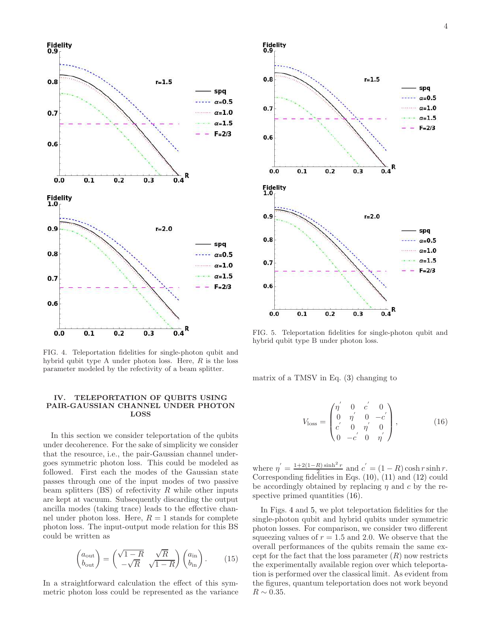

<span id="page-3-2"></span>FIG. 4. Teleportation fidelities for single-photon qubit and hybrid qubit type A under photon loss. Here,  $R$  is the loss parameter modeled by the refectivity of a beam splitter.

### <span id="page-3-0"></span>IV. TELEPORTATION OF QUBITS USING PAIR-GAUSSIAN CHANNEL UNDER PHOTON LOSS

In this section we consider teleportation of the qubits under decoherence. For the sake of simplicity we consider that the resource, i.e., the pair-Gaussian channel undergoes symmetric photon loss. This could be modeled as followed. First each the modes of the Gaussian state passes through one of the input modes of two passive beam splitters  $(BS)$  of refectivity R while other inputs are kept at vacuum. Subsequently discarding the output ancilla modes (taking trace) leads to the effective channel under photon loss. Here,  $R = 1$  stands for complete photon loss. The input-output mode relation for this BS could be written as

$$
\begin{pmatrix} a_{\text{out}} \\ b_{\text{out}} \end{pmatrix} = \begin{pmatrix} \sqrt{1-R} & \sqrt{R} \\ -\sqrt{R} & \sqrt{1-R} \end{pmatrix} \begin{pmatrix} a_{\text{in}} \\ b_{\text{in}} \end{pmatrix} . \tag{15}
$$

In a straightforward calculation the effect of this symmetric photon loss could be represented as the variance



<span id="page-3-3"></span>FIG. 5. Teleportation fidelities for single-photon qubit and hybrid qubit type B under photon loss.

matrix of a TMSV in Eq. [\(3\)](#page-1-5) changing to

<span id="page-3-1"></span>
$$
V_{\text{loss}} = \begin{pmatrix} \eta' & 0 & c' & 0 \\ 0 & \eta' & 0 & -c' \\ c' & 0 & \eta' & 0 \\ 0 & -c' & 0 & \eta' \end{pmatrix}, \quad (16)
$$

where  $\eta' = \frac{1+2(1-R)\sinh^2 r}{2}$  $\frac{R}{2}$  sinh<sup>2</sup> r and  $c' = (1 - R) \cosh r \sinh r$ . Corresponding fidelities in Eqs. [\(10\)](#page-1-6), [\(11\)](#page-1-7) and [\(12\)](#page-1-8) could be accordingly obtained by replacing  $\eta$  and c by the respective primed quantities  $(16)$ .

In Figs. [4](#page-3-2) and [5,](#page-3-3) we plot teleportation fidelities for the single-photon qubit and hybrid qubits under symmetric photon losses. For comparison, we consider two different squeezing values of  $r = 1.5$  and 2.0. We observe that the overall performances of the qubits remain the same except for the fact that the loss parameter  $(R)$  now restricts the experimentally available region over which teleportation is performed over the classical limit. As evident from the figures, quantum teleportation does not work beyond  $R \sim 0.35$ .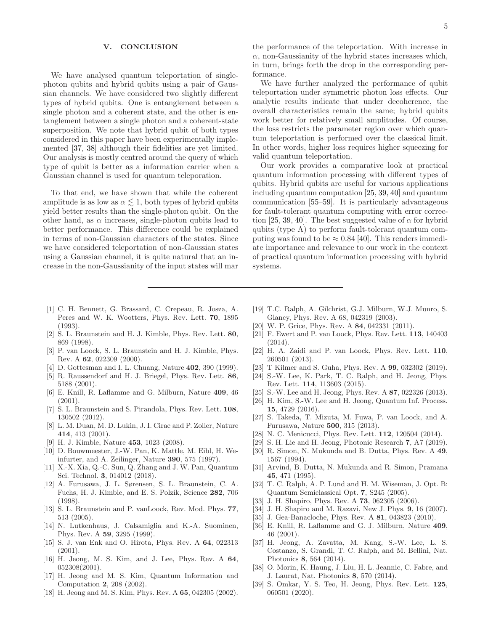### <span id="page-4-32"></span>V. CONCLUSION

We have analysed quantum teleportation of singlephoton qubits and hybrid qubits using a pair of Gaussian channels. We have considered two slightly different types of hybrid qubits. One is entanglement between a single photon and a coherent state, and the other is entanglement between a single photon and a coherent-state superposition. We note that hybrid qubit of both types considered in this paper have been experimentally implemented [\[37](#page-4-29), [38\]](#page-4-30) although their fidelities are yet limited. Our analysis is mostly centred around the query of which type of qubit is better as a information carrier when a Gaussian channel is used for quantum teleporation.

To that end, we have shown that while the coherent amplitude is as low as  $\alpha \lesssim 1$ , both types of hybrid qubits yield better results than the single-photon qubit. On the other hand, as  $\alpha$  increases, single-photon qubits lead to better performance. This difference could be explained in terms of non-Gaussian characters of the states. Since we have considered teleportation of non-Gaussian states using a Gaussian channel, it is quite natural that an increase in the non-Gaussianity of the input states will mar

the performance of the teleportation. With increase in  $\alpha$ , non-Gaussianity of the hybrid states increases which, in turn, brings forth the drop in the corresponding performance.

We have further analyzed the performance of qubit teleportation under symmetric photon loss effects. Our analytic results indicate that under decoherence, the overall characteristics remain the same; hybrid qubits work better for relatively small amplitudes. Of course, the loss restricts the parameter region over which quantum teleportation is performed over the classical limit. In other words, higher loss requires higher squeezing for valid quantum teleportation.

Our work provides a comparative look at practical quantum information processing with different types of qubits. Hybrid qubits are useful for various applications including quantum computation [\[25,](#page-4-20) [39,](#page-4-31) [40\]](#page-5-0) and quantum communication [\[55](#page-5-11)[–59\]](#page-5-12). It is particularly advantageous for fault-tolerant quantum computing with error correc-tion [\[25,](#page-4-20) [39,](#page-4-31) [40](#page-5-0)]. The best suggested value of  $\alpha$  for hybrid qubits (type A) to perform fault-tolerant quantum computing was found to be  $\approx 0.84$  [\[40\]](#page-5-0). This renders immediate importance and relevance to our work in the context of practical quantum information processing with hybrid systems.

- <span id="page-4-0"></span>[1] C. H. Bennett, G. Brassard, C. Crepeau, R. Josza, A. Peres and W. K. Wootters, Phys. Rev. Lett. 70, 1895 (1993).
- <span id="page-4-1"></span>[2] S. L. Braunstein and H. J. Kimble, Phys. Rev. Lett. 80, 869 (1998).
- <span id="page-4-2"></span>[3] P. van Loock, S. L. Braunstein and H. J. Kimble, Phys. Rev. A 62, 022309 (2000).
- <span id="page-4-3"></span>[4] D. Gottesman and I. L. Chuang, Nature **402**, 390 (1999).
- [5] R. Raussendorf and H. J. Briegel, Phys. Rev. Lett. 86, 5188 (2001).
- <span id="page-4-4"></span>[6] E. Knill, R. Laflamme and G. Milburn, Nature 409, 46 (2001).
- <span id="page-4-5"></span>[7] S. L. Braunstein and S. Pirandola, Phys. Rev. Lett. **108**, 130502 (2012).
- <span id="page-4-6"></span>[8] L. M. Duan, M. D. Lukin, J. I. Cirac and P. Zoller, Nature 414, 413 (2001).
- <span id="page-4-7"></span>[9] H. J. Kimble, Nature 453, 1023 (2008).
- <span id="page-4-8"></span>[10] D. Bouwmeester, J.-W. Pan, K. Mattle, M. Eibl, H. Weinfurter, and A. Zeilinger, Nature 390, 575 (1997).
- <span id="page-4-9"></span>[11] X.-X. Xia, Q.-C. Sun, Q. Zhang and J. W. Pan, Quantum Sci. Technol. 3, 014012 (2018).
- <span id="page-4-10"></span>[12] A. Furusawa, J. L. Sørensen, S. L. Braunstein, C. A. Fuchs, H. J. Kimble, and E. S. Polzik, Science 282, 706 (1998).
- <span id="page-4-11"></span>[13] S. L. Braunstein and P. vanLoock, Rev. Mod. Phys. 77, 513 (2005).
- <span id="page-4-12"></span>[14] N. Lutkenhaus, J. Calsamiglia and K.-A. Suominen, Phys. Rev. A 59, 3295 (1999).
- <span id="page-4-13"></span>[15] S. J. van Enk and O. Hirota, Phys. Rev. A 64, 022313 (2001).
- [16] H. Jeong, M. S. Kim, and J. Lee, Phys. Rev. A 64, 052308(2001).
- [17] H. Jeong and M. S. Kim, Quantum Information and Computation 2, 208 (2002).
- [18] H. Jeong and M. S. Kim, Phys. Rev. A 65, 042305 (2002).
- <span id="page-4-14"></span>[19] T.C. Ralph, A. Gilchrist, G.J. Milburn, W.J. Munro, S. Glancy, Phys. Rev. A 68, 042319 (2003).
- <span id="page-4-15"></span>[20] W. P. Grice, Phys. Rev. A 84, 042331 (2011).
- <span id="page-4-16"></span>[21] F. Ewert and P. van Loock, Phys. Rev. Lett. 113, 140403 (2014).
- <span id="page-4-17"></span>[22] H. A. Zaidi and P. van Loock, Phys. Rev. Lett. 110, 260501 (2013).
- <span id="page-4-18"></span>[23] T Kilmer and S. Guha, Phys. Rev. A 99, 032302 (2019).
- <span id="page-4-19"></span>[24] S.-W. Lee, K. Park, T. C. Ralph, and H. Jeong, Phys. Rev. Lett. 114, 113603 (2015).
- <span id="page-4-20"></span>[25] S.-W. Lee and H. Jeong, Phys. Rev. A 87, 022326 (2013).
- <span id="page-4-21"></span>[26] H. Kim, S.-W. Lee and H. Jeong, Quantum Inf. Process. 15, 4729 (2016).
- <span id="page-4-22"></span>[27] S. Takeda, T. Mizuta, M. Fuwa, P. van Loock, and A. Furusawa, Nature 500, 315 (2013).
- [28] N. C. Menicucci, Phys. Rev. Lett. 112, 120504 (2014).
- <span id="page-4-23"></span>[29] S. H. Lie and H. Jeong, Photonic Research 7, A7 (2019).
- <span id="page-4-24"></span>[30] R. Simon, N. Mukunda and B. Dutta, Phys. Rev. A 49, 1567 (1994).
- <span id="page-4-25"></span>[31] Arvind, B. Dutta, N. Mukunda and R. Simon, Pramana 45, 471 (1995).
- <span id="page-4-26"></span>[32] T. C. Ralph, A. P. Lund and H. M. Wiseman, J. Opt. B: Quantum Semiclassical Opt. 7, S245 (2005).
- [33] J. H. Shapiro, Phys. Rev. A **73**, 062305 (2006).
- [34] J. H. Shapiro and M. Razavi, New J. Phys. **9**, 16 (2007).
- <span id="page-4-27"></span>[35] J. Gea-Banacloche, Phys. Rev. A **81**, 043823 (2010).
- <span id="page-4-28"></span>[36] E. Knill, R. Laflamme and G. J. Milburn, Nature 409, 46 (2001).
- <span id="page-4-29"></span>[37] H. Jeong, A. Zavatta, M. Kang, S.-W. Lee, L. S. Costanzo, S. Grandi, T. C. Ralph, and M. Bellini, Nat. Photonics 8, 564 (2014).
- <span id="page-4-30"></span>[38] O. Morin, K. Haung, J. Liu, H. L. Jeannic, C. Fabre, and J. Laurat, Nat. Photonics 8, 570 (2014).
- <span id="page-4-31"></span>[39] S. Omkar, Y. S. Teo, H. Jeong, Phys. Rev. Lett. 125, 060501 (2020).